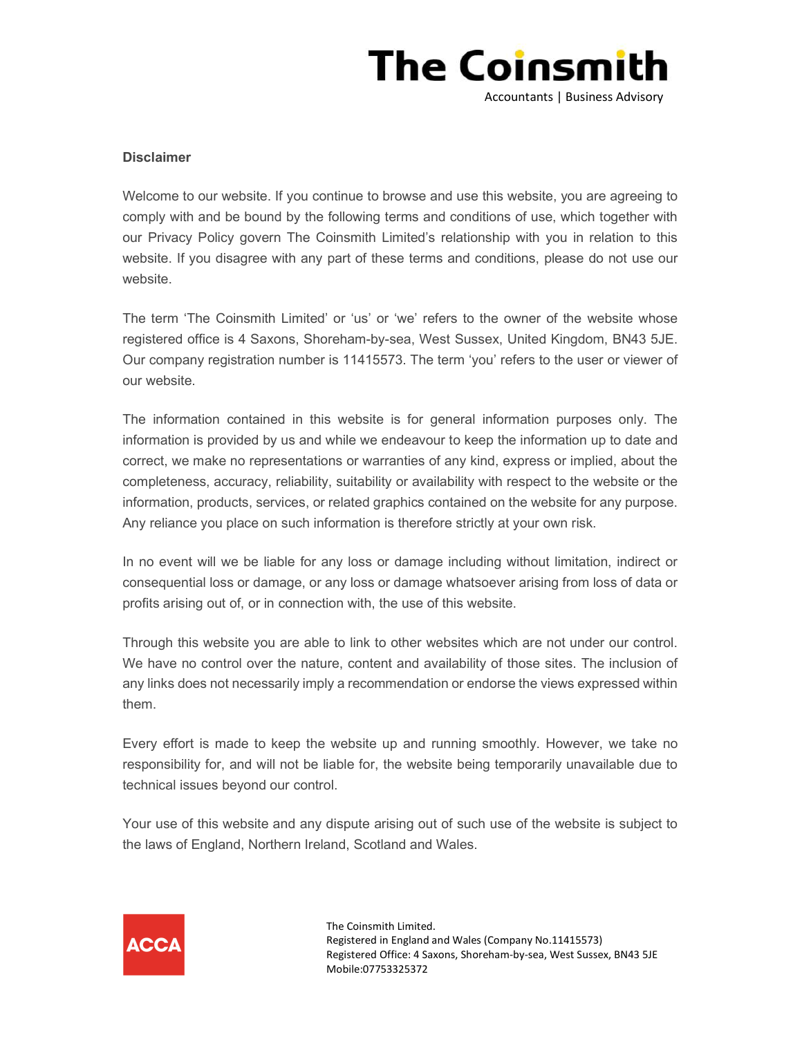

## **Disclaimer**

Welcome to our website. If you continue to browse and use this website, you are agreeing to comply with and be bound by the following terms and conditions of use, which together with our Privacy Policy govern The Coinsmith Limited's relationship with you in relation to this website. If you disagree with any part of these terms and conditions, please do not use our website.

The term 'The Coinsmith Limited' or 'us' or 'we' refers to the owner of the website whose registered office is 4 Saxons, Shoreham-by-sea, West Sussex, United Kingdom, BN43 5JE. Our company registration number is 11415573. The term 'you' refers to the user or viewer of our website.

The information contained in this website is for general information purposes only. The information is provided by us and while we endeavour to keep the information up to date and correct, we make no representations or warranties of any kind, express or implied, about the completeness, accuracy, reliability, suitability or availability with respect to the website or the information, products, services, or related graphics contained on the website for any purpose. Any reliance you place on such information is therefore strictly at your own risk.

In no event will we be liable for any loss or damage including without limitation, indirect or consequential loss or damage, or any loss or damage whatsoever arising from loss of data or profits arising out of, or in connection with, the use of this website.

Through this website you are able to link to other websites which are not under our control. We have no control over the nature, content and availability of those sites. The inclusion of any links does not necessarily imply a recommendation or endorse the views expressed within them.

Every effort is made to keep the website up and running smoothly. However, we take no responsibility for, and will not be liable for, the website being temporarily unavailable due to technical issues beyond our control.

Your use of this website and any dispute arising out of such use of the website is subject to the laws of England, Northern Ireland, Scotland and Wales.



The Coinsmith Limited. Registered in England and Wales (Company No.11415573) Registered Office: 4 Saxons, Shoreham-by-sea, West Sussex, BN43 5JE Mobile:07753325372